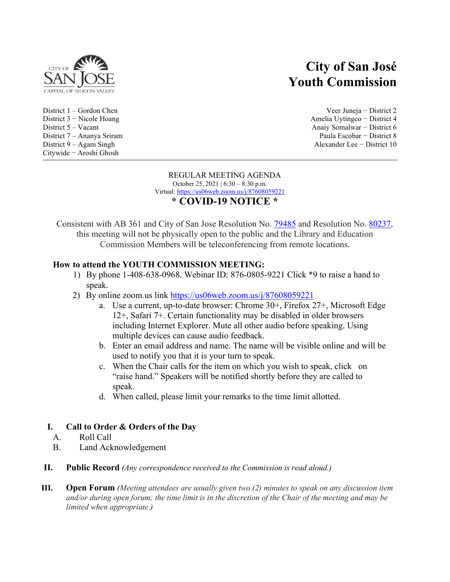

District  $9 - Agam$  Singh Citywide − Aroshi Ghosh

# **City of San José Youth Commission**

District 1 – Gordon Chen Veer Juneja − District 2 District 3 − Nicole Hoang Amelia Uytingco − District 4 District 5 – Vacant Anaiy Somalwar − District 6 District 7 – Ananya Sriram Paula Escobar − District 8

#### REGULAR MEETING AGENDA October 25, 2021 | 6:30 – 8:30 p.m. Virtual:<https://us06web.zoom.us/j/87608059221> **\* COVID-19 NOTICE \***

Consistent with AB 361 and City of San Jose Resolution No. [79485](https://records.sanjoseca.gov/Resolutions/RES79485.pdf) and Resolution No. [80237](https://records.sanjoseca.gov/Resolutions/RES80237.pdf), this meeting will not be physically open to the public and the Library and Education Commission Members will be teleconferencing from remote locations.

# **How to attend the YOUTH COMMISSION MEETING:**

- 1) By phone 1-408-638-0968. Webinar ID: 876-0805-9221 Click \*9 to raise a hand to speak.
- 2) By online zoom.us link<https://us06web.zoom.us/j/87608059221>
	- a. Use a current, up-to-date browser: Chrome 30+, Firefox 27+, Microsoft Edge 12+, Safari 7+. Certain functionality may be disabled in older browsers including Internet Explorer. Mute all other audio before speaking. Using multiple devices can cause audio feedback.
	- b. Enter an email address and name. The name will be visible online and will be used to notify you that it is your turn to speak.
	- c. When the Chair calls for the item on which you wish to speak, click on "raise hand." Speakers will be notified shortly before they are called to speak.
	- d. When called, please limit your remarks to the time limit allotted.

# **I. Call to Order & Orders of the Day**

- A. Roll Call
- B. Land Acknowledgement
- **II. Public Record** *(Any correspondence received to the Commission is read aloud.)*
- **III. Open Forum** *(Meeting attendees are usually given two (2) minutes to speak on any discussion item and/or during open forum; the time limit is in the discretion of the Chair of the meeting and may be limited when appropriate.)*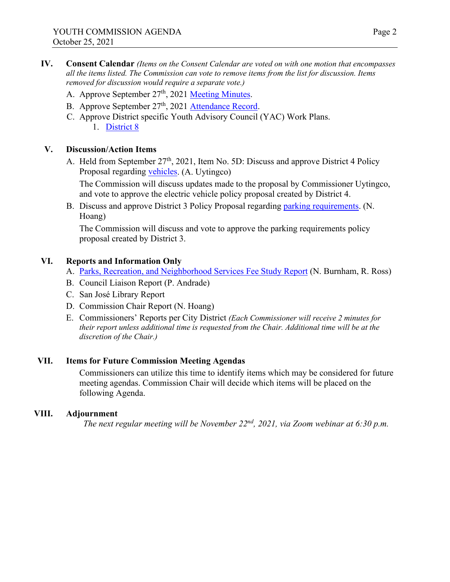- **IV. Consent Calendar** *(Items on the Consent Calendar are voted on with one motion that encompasses all the items listed. The Commission can vote to remove items from the list for discussion. Items removed for discussion would require a separate vote.)*
	- A. Approve September 27<sup>th</sup>, 2021 [Meeting M](https://www.sjpl.org/sites/default/files/2021-10/YC%209.27.2021%20Regular%20Minutes.pdf)inutes.
	- B. Approve September 27<sup>th</sup>, 2021 [Attendance Record](https://www.sjpl.org/sites/default/files/2021-10/Youth%20Commission%209.27.2021%20Attendace%20Record.pdf).
	- C. Approve District specific Youth Advisory Council (YAC) Work Plans. 1. [District](https://www.sjpl.org/sites/default/files/2021-10/District%208%202021-2022%20Workplan.pdf) 8

### **V. Discussion/Action Items**

A. Held from September 27<sup>th</sup>, 2021, Item No. 5D: Discuss and approve District 4 Policy Proposal regarding [vehicles.](https://www.sjpl.org/sites/default/files/2021-10/D4%20Policy%20Recommendation_%20Electric%20Vehicles.pdf) (A. Uytingco)

The Commission will discuss updates made to the proposal by Commissioner Uytingco, and vote to approve the electric vehicle policy proposal created by District 4.

B. Discuss and approve District 3 Policy Proposal regarding [parking requ](https://www.sjpl.org/sites/default/files/2021-10/Policy%20Proposal%20-%20Parking%20Requirements%20in%20San%20Jose%20.pdf)irements. (N. Hoang)

The Commission will discuss and vote to approve the parking requirements policy proposal created by District 3.

### **VI. Reports and Information Only**

- A. [Parks, Recreation, and Neighborhood Services Fee Study Report](https://www.sjpl.org/sites/default/files/2021-10/10.25.21%20Youth%20Commission-%20PDO.PIO%20Fee%20Study%20Overview.pdf) (N. Burnham, R. Ross)
- B. Council Liaison Report (P. Andrade)
- C. San José Library Report
- D. Commission Chair Report (N. Hoang)
- E. Commissioners' Reports per City District *(Each Commissioner will receive 2 minutes for their report unless additional time is requested from the Chair. Additional time will be at the discretion of the Chair.)*

### **VII. Items for Future Commission Meeting Agendas**

Commissioners can utilize this time to identify items which may be considered for future meeting agendas. Commission Chair will decide which items will be placed on the following Agenda.

#### **VIII. Adjournment**

*The next regular meeting will be November 22nd, 2021, via Zoom webinar at 6:30 p.m.*